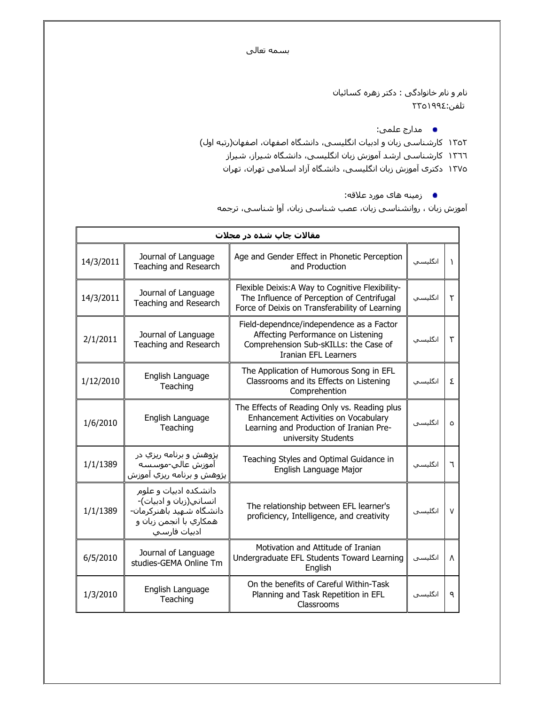بسمه تعالى

نام و نام خانوادگی : دکتر زهره کسائیان ٢٣٥١٩٩٤:

**•** مدارج علمي:

١٣٥٢ ر123 ز ن و اد ت ا. ، دا./ ا,+ن، ا,+ن(ر6 اول )

- ١٣٦٦ كارشناسيي ارشد آموزش زبان انگليسي، دانشگاه شيراز، شيراز
- ١٣٧٥ دکترې آموزش زبان انگلیسـي، دانشـگاه آزاد اسـلامي تهران، تهران
	- زمینه های مورد علاقه:

اموزش زبان ، روانشناسپي زبان، عصب شناسپي زبان، اوا شناسپي، ترجمه

| مقالات چاپ شده در مجلات |                                                                                                                         |                                                                                                                                                        |          |        |
|-------------------------|-------------------------------------------------------------------------------------------------------------------------|--------------------------------------------------------------------------------------------------------------------------------------------------------|----------|--------|
| 14/3/2011               | Journal of Language<br>Teaching and Research                                                                            | Age and Gender Effect in Phonetic Perception<br>and Production                                                                                         |          | Υ      |
| 14/3/2011               | Journal of Language<br>Teaching and Research                                                                            | Flexible Deixis: A Way to Cognitive Flexibility-<br>The Influence of Perception of Centrifugal<br>Force of Deixis on Transferability of Learning       | انگلىسىي | ٢      |
| 2/1/2011                | Journal of Language<br>Teaching and Research                                                                            | Field-dependnce/independence as a Factor<br>Affecting Performance on Listening<br>Comprehension Sub-sKILLs: the Case of<br>Iranian EFL Learners        | انگلىسىي | ٣      |
| 1/12/2010               | English Language<br>Teaching                                                                                            | The Application of Humorous Song in EFL<br>Classrooms and its Effects on Listening<br>Comprehention                                                    | انگلىسىي | ٤      |
| 1/6/2010                | English Language<br>Teaching                                                                                            | The Effects of Reading Only vs. Reading plus<br>Enhancement Activities on Vocabulary<br>Learning and Production of Iranian Pre-<br>university Students | انگلیسی  | ٥      |
| 1/1/1389                | پژوهش و برنامه ریزي در<br>آموزش عالي-موسسه<br>پژوهش و برنامه ریزي آموزش                                                 | Teaching Styles and Optimal Guidance in<br>English Language Major                                                                                      | انگلىسىي | ٦      |
| 1/1/1389                | دانشکده ادبیات و علوم<br>انساني(زبان و ادبيات)-<br>دانشگاه شـهید باهنرکرمان-<br>همکاري با انجمن زبان و<br>ادبيات فارسـي | The relationship between EFL learner's<br>proficiency, Intelligence, and creativity                                                                    | انگلىسى  | $\vee$ |
| 6/5/2010                | Journal of Language<br>studies-GEMA Online Tm                                                                           | Motivation and Attitude of Iranian<br>Undergraduate EFL Students Toward Learning<br>English                                                            | انگلیسی  | Λ      |
| 1/3/2010                | English Language<br>Teaching                                                                                            | On the benefits of Careful Within-Task<br>Planning and Task Repetition in EFL<br>Classrooms                                                            | انگلیسی  | ٩      |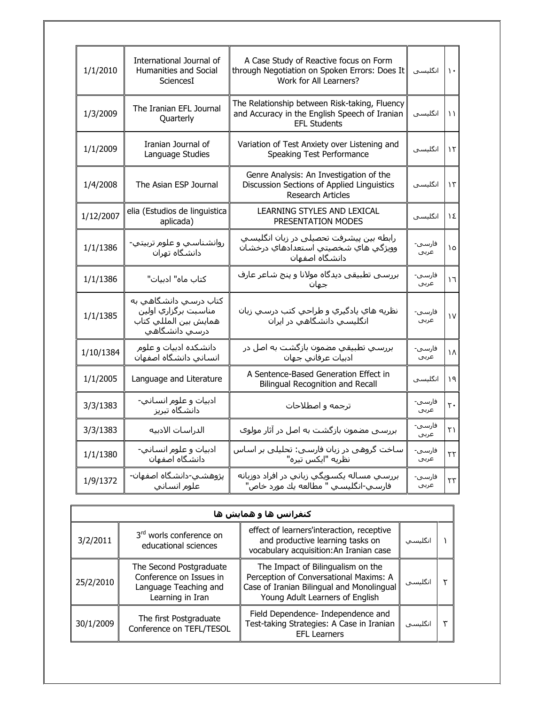| 1/1/2010  | International Journal of<br>Humanities and Social<br>SciencesI                             | A Case Study of Reactive focus on Form<br>through Negotiation on Spoken Errors: Does It<br>Work for All Learners?     | انگلیسی         | $\mathcal{L}$ |
|-----------|--------------------------------------------------------------------------------------------|-----------------------------------------------------------------------------------------------------------------------|-----------------|---------------|
| 1/3/2009  | The Iranian EFL Journal<br>Quarterly                                                       | The Relationship between Risk-taking, Fluency<br>and Accuracy in the English Speech of Iranian<br><b>EFL Students</b> | انگلیسی         | $\mathcal{L}$ |
| 1/1/2009  | Iranian Journal of<br>Language Studies                                                     | Variation of Test Anxiety over Listening and<br>Speaking Test Performance                                             | انگلیسی         | $\mathcal{L}$ |
| 1/4/2008  | The Asian ESP Journal                                                                      | Genre Analysis: An Investigation of the<br>Discussion Sections of Applied Linguistics<br><b>Research Articles</b>     | انگلیسی         | ۱۳            |
| 1/12/2007 | elia (Estudios de linguistica<br>aplicada)                                                 | LEARNING STYLES AND LEXICAL<br>PRESENTATION MODES                                                                     | انگلیسی         | ١٤            |
| 1/1/1386  | روانشناسي و علوم تربيتي-<br>دانشگاه تهران                                                  | رابطه بین پیشرفت تحصیلی در زبان انگلیسی<br>وويژگي هاي شخصيتي استعدادهاي درخشان<br>دانشگاه اصفهان                      | فارسـى-<br>عربي | ١٥            |
| 1/1/1386  | كتاب ماه" ادبيات"                                                                          | بررسـي تطبيقي ديدگاه مولانا و پنج شـاعر عارف<br>جمان                                                                  | فارسى-<br>عربي  | ١٦            |
| 1/1/1385  | کتاب درسـي دانشـگاهـي به<br>مناسبت برگزاري اولين<br>همايش بين المللي كتاب<br>درسي دانشگاهي | نظريه هاي يادگيري و طراحي كتب درسـي زبان<br>انگلیسـي دانشـگاهـي در ايران                                              | فارسى-<br>عربي  | ١V            |
| 1/10/1384 | دانشکده ادبیات و علوم<br>انساني دانشگاه اصفهان                                             | بررسـي تطبيقي مضمون بازگشـت به اصل در<br>ادبيات عرفاني جهان                                                           | فارسى-<br>عربي  | ١٨            |
| 1/1/2005  | Language and Literature                                                                    | A Sentence-Based Generation Effect in<br><b>Bilingual Recognition and Recall</b>                                      | انگلیسی         | ۱۹            |
| 3/3/1383  | ادبيات و علوم انساني-<br>دانشگاه تبریز                                                     | ترجمه و اصطلاحات                                                                                                      | فارسى-<br>عربي  | ٢٠            |
| 3/3/1383  | الدراسات الادبيه                                                                           | بررسـی مضمون بازگشـت به اصل در آثار مولوک                                                                             | فارسي-<br>عربي  | ٢١            |
| 1/1/1380  | ادبيات و علوم انساني-<br>دانشگاه اصفهان                                                    | ساخت گروهی در زبان فارسـی: تحلیلـی بر اسـاس<br>نظريه "ايكس تيره"                                                      | فارسى-<br>عربي  | ٢٢            |
| 1/9/1372  | پژوهشـي-دانشـگاه اصفـهان-<br>علوم انساني                                                   | بررسـي مسـاله پکسـوپگـي زباني در افراد دوزبانه<br>فارسـي-انگليسـي " مطالعه يك مورد خاص"                               | فارسي-<br>عربي  | ٢٣            |

| کنفرانس ها و همایش ها |                                                                                                 |                                                                                                                                                             |          |  |  |
|-----------------------|-------------------------------------------------------------------------------------------------|-------------------------------------------------------------------------------------------------------------------------------------------------------------|----------|--|--|
| 3/2/2011              | 3rd worls conference on<br>educational sciences                                                 | effect of learners'interaction, receptive<br>and productive learning tasks on<br>vocabulary acquisition: An Iranian case                                    | انگلیسپ  |  |  |
| 25/2/2010             | The Second Postgraduate<br>Conference on Issues in<br>Language Teaching and<br>Learning in Iran | The Impact of Bilingualism on the<br>Perception of Conversational Maxims: A<br>Case of Iranian Bilingual and Monolingual<br>Young Adult Learners of English | انگلىسىي |  |  |
| 30/1/2009             | The first Postgraduate<br>Conference on TEFL/TESOL                                              | Field Dependence- Independence and<br>Test-taking Strategies: A Case in Iranian<br><b>EFL Learners</b>                                                      | انگلىسىي |  |  |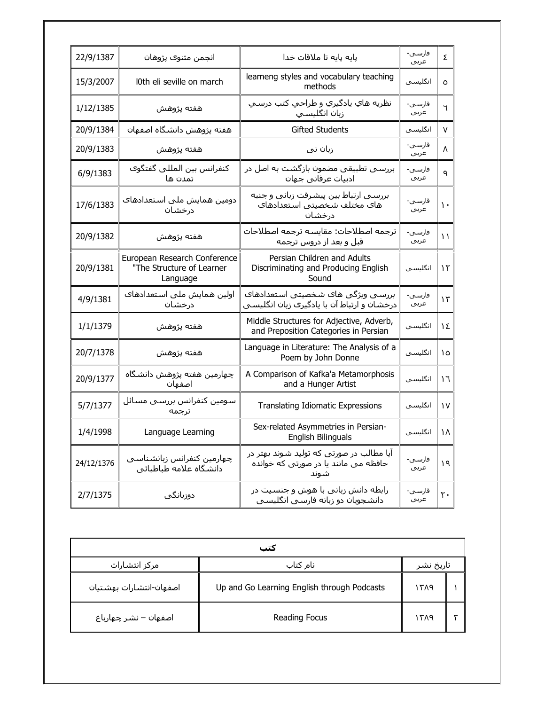| 22/9/1387  | انجمن مثنوى پژوهان                                                    | پايه پايه تا ملاقات خدا                                                                  | فارستى-<br>عربي | ٤              |
|------------|-----------------------------------------------------------------------|------------------------------------------------------------------------------------------|-----------------|----------------|
| 15/3/2007  | l0th eli seville on march                                             | learneng styles and vocabulary teaching<br>methods                                       | انگلىسى         | $\circ$        |
| 1/12/1385  | هفته پژوهش                                                            | نظريه هاي يادگيري و طراحي کتب درسـي<br>زبان انگلیسی                                      | فارسى-<br>عربي  | ٦              |
| 20/9/1384  | هفته پژوهش دانشگاه اصفهان                                             | <b>Gifted Students</b>                                                                   | انگلىسى         | V              |
| 20/9/1383  | هفته پژوهش                                                            | زبان ني                                                                                  | فارسـى-<br>عربي | Λ              |
| 6/9/1383   | كنفرانس بين المللي گفتگوې<br>تمدن ها                                  | بررسـی تطبیقی مضمون بازگشت به اصل در<br>ادبیات عرفانی جهان                               | فارسـى-<br>عربي | ٩              |
| 17/6/1383  | دومین همایش ملی استعدادهای<br>درخشان                                  | بررسـي ارتباط بين پيشـرفت زباني و جنبه<br>هاک مختلف شخصیتی استعدادهاک<br>درخشان          | فارسى-<br>عربي  | $\mathbf{L}$   |
| 20/9/1382  | هفته پژوهش                                                            | ترجمه اصطلاحات: مقايسه ترجمه اصطلاحات<br>قبل و بعد از دروس ترجمه                         | فارسـى-<br>عربي | $\mathcal{L}$  |
| 20/9/1381  | European Research Conference<br>"The Structure of Learner<br>Language | Persian Children and Adults<br>Discriminating and Producing English<br>Sound             | انگلیسی         | ۱٢             |
| 4/9/1381   | اولین همایش ملی استعدادهای<br>درخشان                                  | بررسبي ويژگى هاي شخصيتي استعدادهاي<br>درخشان و ارتباط آن با پادگیری زبان انگلیسـی        | فارسى-<br>عربي  | $\mathcal{L}$  |
| 1/1/1379   | هفته پژوهش                                                            | Middle Structures for Adjective, Adverb,<br>and Preposition Categories in Persian        | انگلیسی         | ١٤             |
| 20/7/1378  | هفته پژوهش                                                            | Language in Literature: The Analysis of a<br>Poem by John Donne                          | انگلیسی         | ١٥             |
| 20/9/1377  | چهارمین هفته پژوهش دانشگاه<br>اصفهان                                  | A Comparison of Kafka'a Metamorphosis<br>and a Hunger Artist                             | انگلیسی         | ۱٦             |
| 5/7/1377   | سومين كنفرانس بررسي مسائل<br>ترجمه                                    | <b>Translating Idiomatic Expressions</b>                                                 | انگلیسی         | ١V             |
| 1/4/1998   | Language Learning                                                     | Sex-related Asymmetries in Persian-<br>English Bilinguals                                | انگلیسی         | ١٨             |
| 24/12/1376 | چهارمین کنفرانس زبانشناسپی<br>دانشگاه علامه طباطبائی                  | آیا مطالب در صورتی که تولید شوند بهتر در<br>حافظه می مانند یا در صورتی که خوانده<br>شوند | فارسـى-<br>عربي | ۱۹             |
| 2/7/1375   | دوزبانگی                                                              | رابطه دانش زبانی با هوش و جنسیت در<br>دانشجویان دو زبانه فارسپی انگلیسپی                 | فارسـى-<br>عربي | $\mathsf{r}$ . |

| کتب                       |                                             |      |           |  |
|---------------------------|---------------------------------------------|------|-----------|--|
| مركز انتشارات<br>نام کتاب |                                             |      | تاريخ نشر |  |
| اصفهان-انتشارات بهشتيان   | Up and Go Learning English through Podcasts | ۱۳۸۹ |           |  |
| اصفهان – نشـر چـهارباغ    | Reading Focus                               | ۱۳۸۹ |           |  |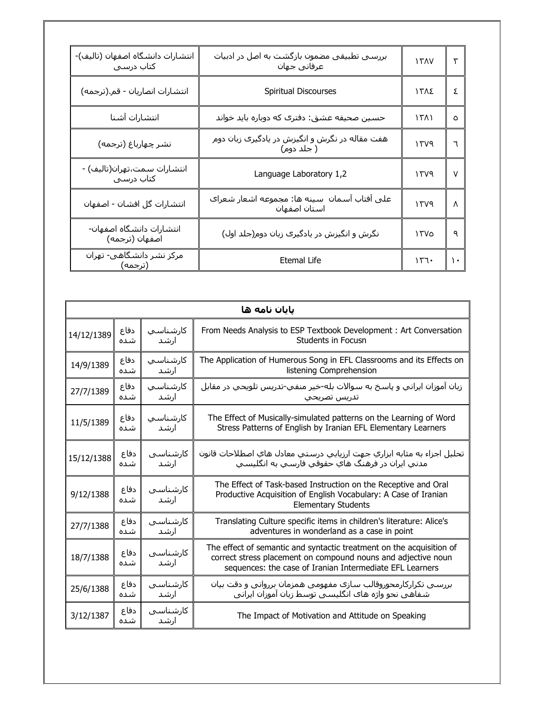| انتشارات دانشگاه اصفهان (تاليف)-<br>کتاب درسی | بررسـی تطبیقی مضمون بازگشـت به اصل در ادبیات<br>عرفاني جهان  | 150V           | ٣   |
|-----------------------------------------------|--------------------------------------------------------------|----------------|-----|
| انتشارات انصاريان - قم.(ترجمه)                | Spiritual Discourses                                         | ١٣٨٤           | Σ   |
| انتشارات آشنا                                 | حسین صحیفه عشق: دفترک که دوباره باید خواند                   | $\binom{1}{1}$ | ٥   |
| نشر چهارباغ (ترجمه)                           | هفت مقاله در نگرش و انگیزش در یادگیرک زبان دوم<br>( جلد دوم) | 15V9           | ٦   |
| انتشارات سمت،تهران(تاليف) -<br>کتاب درسـی     | Language Laboratory 1,2                                      | ۱۳۷۹           | V   |
| انتشارات گل افشان - اصفهان                    | على آفتاب آسمان سينه ها: مجموعه اشعار شعراك<br>استان اصفهان  | 1509           | Λ   |
| انتشارات دانشگاه اصفهان-<br>اصفهان (ترجمه)    | نگرش و انگیزش در یادگیرک زبان دوم(جلد اول)                   | ۱۳۷۵           | ٩   |
| مرکز نشر دانشگاهی- تهران<br>(ترجمه)           | Etemal Life                                                  | 157.           | ∖ ∙ |

| يايان نامه ها |             |                   |                                                                                                                                                                                                   |  |
|---------------|-------------|-------------------|---------------------------------------------------------------------------------------------------------------------------------------------------------------------------------------------------|--|
| 14/12/1389    | دفاع        | كارشناسي          | From Needs Analysis to ESP Textbook Development: Art Conversation                                                                                                                                 |  |
|               | شده         | ارشد              | Students in Focusn                                                                                                                                                                                |  |
| 14/9/1389     | دفاع        | كارشناسي          | The Application of Humerous Song in EFL Classrooms and its Effects on                                                                                                                             |  |
|               | شده         | ارشد              | listening Comprehension                                                                                                                                                                           |  |
| 27/7/1389     | دفاع        | كارشناسي          | زبان آموزان ايراني و پاسخ به سـوالات بله-خير منفي-تدريس تلويحي در مقابل                                                                                                                           |  |
|               | شده         | ارشد              | تدريس تصريحي                                                                                                                                                                                      |  |
| 11/5/1389     | دفاع        | كارشناسي          | The Effect of Musically-simulated patterns on the Learning of Word                                                                                                                                |  |
|               | شده         | ارشد              | Stress Patterns of English by Iranian EFL Elementary Learners                                                                                                                                     |  |
| 15/12/1388    | دفاع        | كارشناسيي         | تحليل اجزاء به مثابه ابزاري جهت ارزيابي درستي معادل هاي اصطلاحات قانون                                                                                                                            |  |
|               | شده         | ارشد              | مدني ايران در فرهنگ هاي حقوقي فارسـي به انگليسـي                                                                                                                                                  |  |
| 9/12/1388     | دفاع<br>شده | كارشناسي<br>ارشد  | The Effect of Task-based Instruction on the Receptive and Oral<br>Productive Acquisition of English Vocabulary: A Case of Iranian<br><b>Elementary Students</b>                                   |  |
| 27/7/1388     | دفاع        | كارشناسي          | Translating Culture specific items in children's literature: Alice's                                                                                                                              |  |
|               | شده         | ارشد              | adventures in wonderland as a case in point                                                                                                                                                       |  |
| 18/7/1388     | دفاع<br>شده | كارشناسيي<br>ارشد | The effect of semantic and syntactic treatment on the acquisition of<br>correct stress placement on compound nouns and adjective noun<br>sequences: the case of Iranian Intermediate EFL Learners |  |
| 25/6/1388     | دفاع        | كارشناسيي         | بررسـی تکرارکارمحوروقالب سـازک مفهومی همزمان برروانی و دقت بیان                                                                                                                                   |  |
|               | شده         | ارشد              | شـفاهـي نحو واژه هاې انگلیسـي توسط زبان آموزان ایرانبي                                                                                                                                            |  |
| 3/12/1387     | دفاع<br>شده | كارشناسيي<br>ارشد | The Impact of Motivation and Attitude on Speaking                                                                                                                                                 |  |